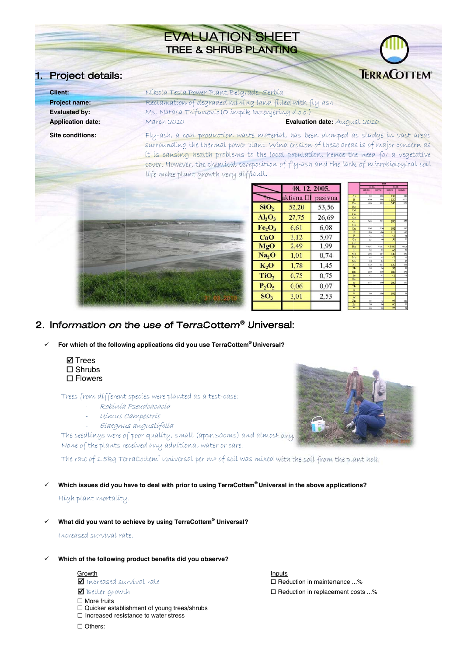# **EVALUATION SHEET TREE & SHRUB PLANTING**

## 1. Project details:



| <b>Client:</b>           | Níkola Tesla Power Plant, Belgrade, Serbía                                                                                                                                                                                                                              |  |  |  |
|--------------------------|-------------------------------------------------------------------------------------------------------------------------------------------------------------------------------------------------------------------------------------------------------------------------|--|--|--|
| <b>Project name:</b>     | Reclamation of degraded mining land filled with fly-ash                                                                                                                                                                                                                 |  |  |  |
| <b>Evaluated by:</b>     | Ms. Natasa Trífunovic (Olímpik Inzenjering d.o.o.)                                                                                                                                                                                                                      |  |  |  |
| <b>Application date:</b> | March 2010<br>Evaluation date: August 2010                                                                                                                                                                                                                              |  |  |  |
| <b>Site conditions:</b>  | Fly-ash, a coal production waste material, has been dumped as sludge in vast areas<br>surrounding the thermal power plant. Wind erosion of these areas is of major concern as<br>it is causing health problems to the local population, hence the need for a vegetative |  |  |  |
|                          | cover. However, the chemical composition of fly-ash and the lack of microbiological soil<br>life moke plant growth very difficult.                                                                                                                                      |  |  |  |



|                                | 08. 12. 2005. |         |  |
|--------------------------------|---------------|---------|--|
|                                | aktivna III   | pasivna |  |
| SiO <sub>2</sub>               | 52,20         | 53.56   |  |
| $Al_2O_3$                      | 27,75         | 26,69   |  |
| Fe <sub>2</sub> O <sub>3</sub> | 6.61          | 6,08    |  |
| CaO                            | 3,12          | 5,07    |  |
| MgO                            | 2,49          | 1,99    |  |
| Na <sub>2</sub> O              | 1,01          | 0.74    |  |
| K, O                           | 1,78          | 1.45    |  |
| TiO <sub>2</sub>               | 0.75          | 0.75    |  |
| $P_2O_5$                       | 0.06          | 0,07    |  |
| SO <sub>3</sub>                | 3.01          | 2,53    |  |
|                                |               |         |  |

|                         |              |                 | .            |         |
|-------------------------|--------------|-----------------|--------------|---------|
|                         | 22.04        |                 | 14.10.       |         |
|                         | aktivna<br>ī | psivne          | aktivna<br>ī | pasivne |
| As                      | 84           | 106             | 130          | 119     |
| $\overline{B}$          | 620          | 516             | 1120         | 1200    |
| Ba                      | 423          | 392             | 340          | 330     |
| Be                      |              |                 |              |         |
| Cd                      |              |                 |              |         |
| Ca                      |              |                 |              |         |
| Co                      |              |                 |              |         |
| Cr                      | 342          | 392             | 280          | 270     |
| $\mathbb{C}$ s          |              |                 |              |         |
| Cu                      | 196          | 220             | 102          | 110     |
| <b>CI</b>               | < 10         | $-10$           | $\leq 10$    | <10     |
| F                       | ⊴            | $\leq$          | 31           | $\leq$  |
| Ga                      | 53           | 40              | 56           | 55      |
| Ge                      |              |                 |              |         |
| Hg                      | 0.01         | $-0.01$         | < 0.01       | $-0.01$ |
| Li                      | 55           | 99              | 60           | 66      |
| Mn                      | 293          | 287             | 440          | 450     |
| Mo                      | $<$ 5        | $\leq$          | $\leq$       | $\leq$  |
| Nb                      | 18           | 14              | 15           | 15      |
| Ni                      | 123          | 151             | 130          | 156     |
| Pb                      | 38           | 36              | 32           | 35      |
| Rh                      | 210          | 150             | 180          | 170     |
| Sc                      | 41           | $\triangleleft$ | $\leq$ 1     | <1      |
| $\bar{\mathbf{s}}$ e    |              |                 |              |         |
| Sr                      | 177          | 190             | 200          | 180     |
| Th                      |              |                 |              |         |
| Ū                       |              |                 |              |         |
| $\overline{\mathbf{v}}$ | 99           | 116             | 102          | 98      |
| $\overline{\textbf{w}}$ |              |                 |              |         |
| Zn                      | 95           | 45              | 98           | 110     |
| Zт                      | 76           | 96              | 60           | 72      |
| Ÿ                       | $^{22}$      | 30              | 23           | 31      |

### 2. Information on the use of TerraCottem® Universal:

 $\checkmark$ For which of the following applications did you use TerraCottem® Universal?

> **Ø** Trees  $\square$  Shrubs  $\square$  Flowers

Trees from different species were planted as a test-case:

- Robínía Pseudoacacía
	- Ulmus Campestris
- Elaegnus angustífolía

The seedlings were of poor quality, small (appr.30cms) and almost dry. None of the plants received any additional water or care.

The rate of 1.5kg Terra Cottem" universal per m<sup>3</sup> of soil was mixed with the soil from the plant hole.

Which issues did you have to deal with prior to using TerraCottem® Universal in the above applications?  $\checkmark$ 

Hígh plant mortality.

What did you want to achieve by using TerraCottem® Universal?

Increased survival rate.

#### Which of the following product benefits did you observe?

Growth Increased survival rate

Better growth

- $\Box$  More fruits
- □ Quicker establishment of young trees/shrubs
- $\Box$  Increased resistance to water stress

Inputs □ Reduction in maintenance ...% □ Reduction in replacement costs ...%